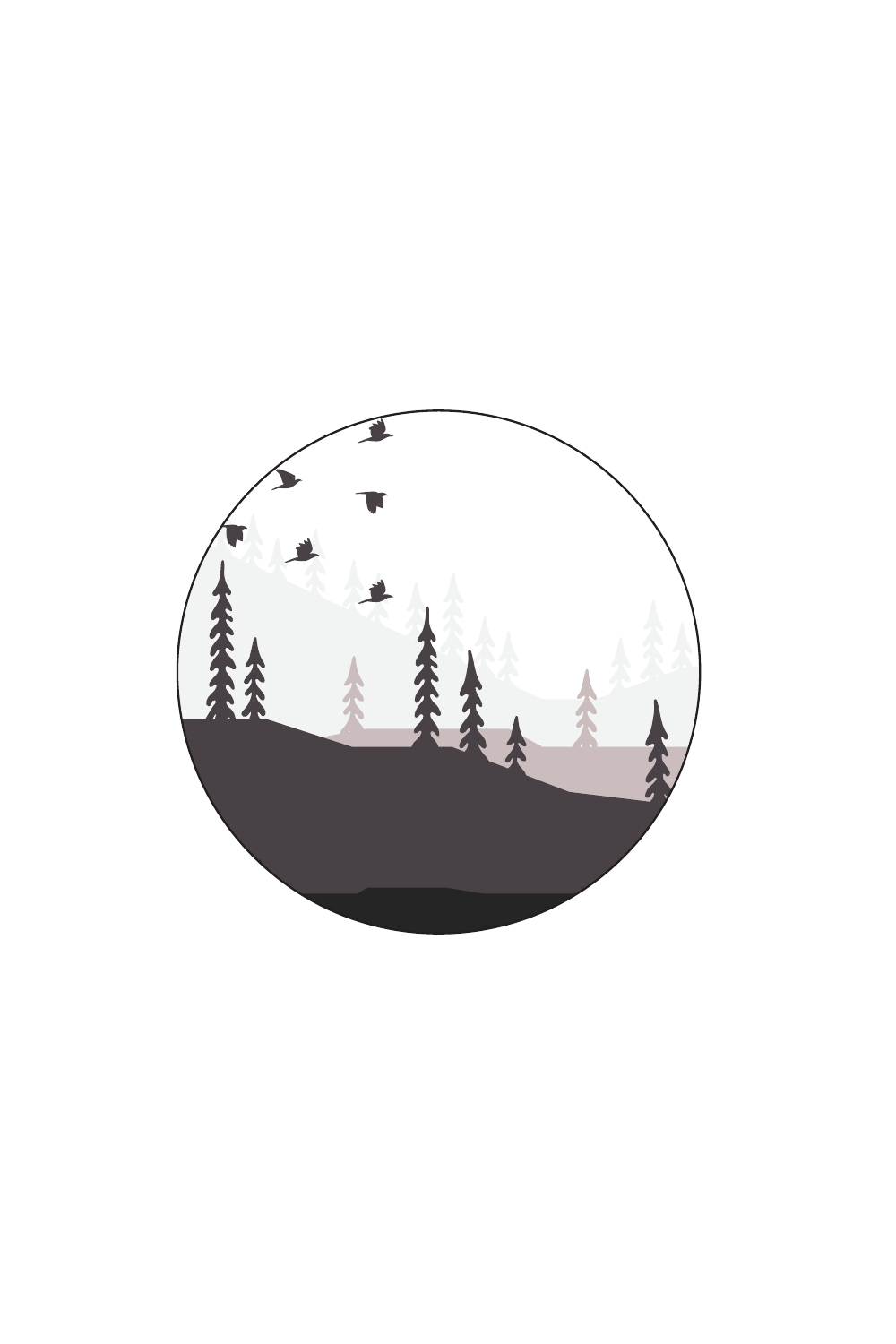